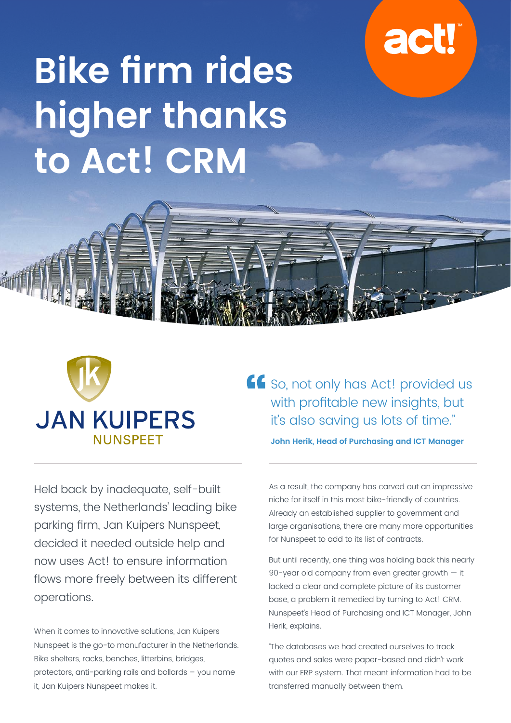## **act!**

# **Bike firm rides higher thanks to Act! CRM**





Held back by inadequate, self-built systems, the Netherlands' leading bike parking firm, Jan Kuipers Nunspeet, decided it needed outside help and now uses Act! to ensure information flows more freely between its different operations.

When it comes to innovative solutions, Jan Kuipers Nunspeet is the go-to manufacturer in the Netherlands. Bike shelters, racks, benches, litterbins, bridges, protectors, anti-parking rails and bollards – you name it, Jan Kuipers Nunspeet makes it.

So, not only has Act! provided us with profitable new insights, but it's also saving us lots of time." **John Herik, Head of Purchasing and ICT Manager**

As a result, the company has carved out an impressive niche for itself in this most bike-friendly of countries. Already an established supplier to government and large organisations, there are many more opportunities for Nunspeet to add to its list of contracts.

But until recently, one thing was holding back this nearly 90-year old company from even greater growth — it lacked a clear and complete picture of its customer base, a problem it remedied by turning to Act! CRM. Nunspeet's Head of Purchasing and ICT Manager, John Herik, explains.

"The databases we had created ourselves to track quotes and sales were paper-based and didn't work with our ERP system. That meant information had to be transferred manually between them.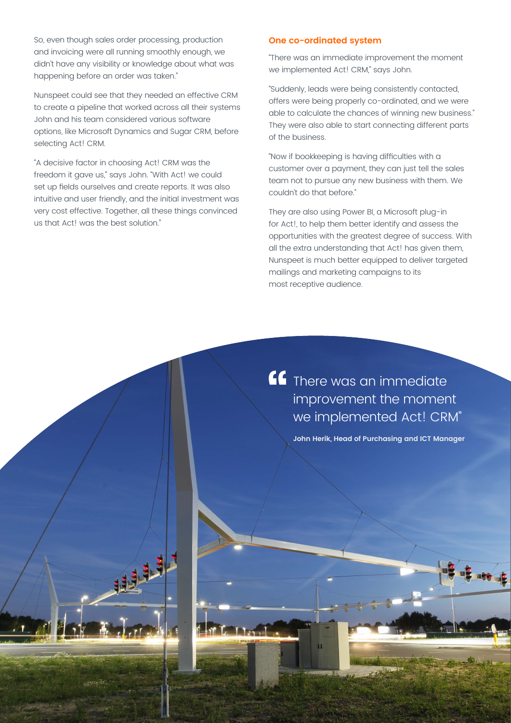So, even though sales order processing, production and invoicing were all running smoothly enough, we didn't have any visibility or knowledge about what was happening before an order was taken."

Nunspeet could see that they needed an effective CRM to create a pipeline that worked across all their systems John and his team considered various software options, like Microsoft Dynamics and Sugar CRM, before selecting Act! CRM.

"A decisive factor in choosing Act! CRM was the freedom it gave us," says John. "With Act! we could set up fields ourselves and create reports. It was also intuitive and user friendly, and the initial investment was very cost effective. Together, all these things convinced us that Act! was the best solution."

地址

#### **One co-ordinated system**

"There was an immediate improvement the moment we implemented Act! CRM," says John.

"Suddenly, leads were being consistently contacted, offers were being properly co-ordinated, and we were able to calculate the chances of winning new business." They were also able to start connecting different parts of the business.

"Now if bookkeeping is having difficulties with a customer over a payment, they can just tell the sales team not to pursue any new business with them. We couldn't do that before."

They are also using Power BI, a Microsoft plug-in for Act!, to help them better identify and assess the opportunities with the greatest degree of success. With all the extra understanding that Act! has given them, Nunspeet is much better equipped to deliver targeted mailings and marketing campaigns to its most receptive audience.

**CC** There was an immediate improvement the moment we implemented Act! CRM"

**John Herik, Head of Purchasing and ICT Manager**